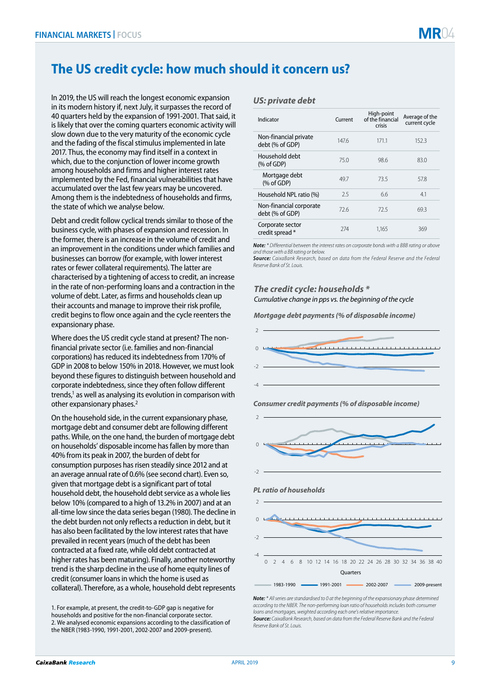# **The US credit cycle: how much should it concern us?**

In 2019, the US will reach the longest economic expansion in its modern history if, next July, it surpasses the record of 40 quarters held by the expansion of 1991-2001. That said, it is likely that over the coming quarters economic activity will slow down due to the very maturity of the economic cycle and the fading of the fiscal stimulus implemented in late 2017. Thus, the economy may find itself in a context in which, due to the conjunction of lower income growth among households and firms and higher interest rates implemented by the Fed, financial vulnerabilities that have accumulated over the last few years may be uncovered. Among them is the indebtedness of households and firms, the state of which we analyse below.

Debt and credit follow cyclical trends similar to those of the business cycle, with phases of expansion and recession. In the former, there is an increase in the volume of credit and an improvement in the conditions under which families and businesses can borrow (for example, with lower interest rates or fewer collateral requirements). The latter are characterised by a tightening of access to credit, an increase in the rate of non-performing loans and a contraction in the volume of debt. Later, as firms and households clean up their accounts and manage to improve their risk profile, credit begins to flow once again and the cycle reenters the expansionary phase.

Where does the US credit cycle stand at present? The nonfinancial private sector (i.e. families and non-financial corporations) has reduced its indebtedness from 170% of GDP in 2008 to below 150% in 2018. However, we must look beyond these figures to distinguish between household and corporate indebtedness, since they often follow different trends,<sup>1</sup> as well as analysing its evolution in comparison with other expansionary phases.<sup>2</sup>

On the household side, in the current expansionary phase, mortgage debt and consumer debt are following different paths. While, on the one hand, the burden of mortgage debt on households' disposable income has fallen by more than 40% from its peak in 2007, the burden of debt for consumption purposes has risen steadily since 2012 and at an average annual rate of 0.6% (see second chart). Even so, given that mortgage debt is a significant part of total household debt, the household debt service as a whole lies below 10% (compared to a high of 13.2% in 2007) and at an all-time low since the data series began (1980). The decline in the debt burden not only reflects a reduction in debt, but it has also been facilitated by the low interest rates that have prevailed in recent years (much of the debt has been contracted at a fixed rate, while old debt contracted at higher rates has been maturing). Finally, another noteworthy trend is the sharp decline in the use of home equity lines of credit (consumer loans in which the home is used as collateral). Therefore, as a whole, household debt represents

1. For example, at present, the credit-to-GDP gap is negative for households and positive for the non-financial corporate sector. 2. We analysed economic expansions according to the classification of the NBER (1983-1990, 1991-2001, 2002-2007 and 2009-present).

### *US: private debt*

| Indicator                                  | Current | High-point<br>of the financial<br>crisis | Average of the<br>current cycle |
|--------------------------------------------|---------|------------------------------------------|---------------------------------|
| Non-financial private<br>debt (% of GDP)   | 1476    | 1711                                     | 152.3                           |
| Household debt<br>$%$ of GDP)              | 75.0    | 98.6                                     | 83.0                            |
| Mortgage debt<br>$%$ of GDP)               | 49.7    | 735                                      | 57.8                            |
| Household NPL ratio (%)                    | 25      | 6.6                                      | 4.1                             |
| Non-financial corporate<br>debt (% of GDP) | 726     | 725                                      | 69.3                            |
| Corporate sector<br>credit spread*         | 274     | 1.165                                    | 369                             |

*Note: \* Differential between the interest rates on corporate bonds with a BBB rating or above and those with a BB rating or below.*

*Source: CaixaBank Research, based on data from the Federal Reserve and the Federal Reserve Bank of St. Louis.*

# *The credit cycle: households \**

*Cumulative change in pps vs. the beginning of the cycle*

*Mortgage debt payments (% of disposable income)*







*Note: \* All series are standardised to 0 at the beginning of the expansionary phase determined according to the NBER. The non-performing loan ratio of households includes both consumer loans and mortgages, weighted according each one's relative importance. Source: CaixaBank Research, based on data from the Federal Reserve Bank and the Federal Reserve Bank of St. Louis.*